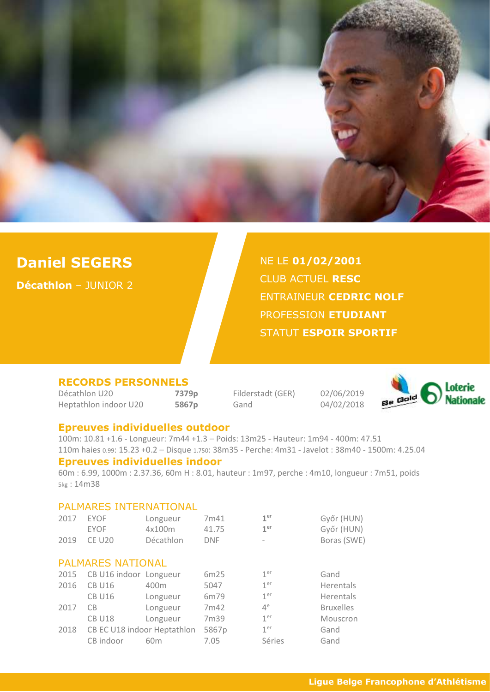

# **Daniel SEGERS**

**Décathlon** – JUNIOR 2

NE LE **01/02/2001** CLUB ACTUEL **RESC** ENTRAINEUR **CEDRIC NOLF** PROFESSION **ETUDIANT**  STATUT **ESPOIR SPORTIF**

### **RECORDS PERSONNELS**

Décathlon U20 **7379p** Filderstadt (GER) 02/06/2019 Heptathlon indoor U20 **5867p** Gand 04/02/2018



#### **Epreuves individuelles outdoor**

100m: 10.81 +1.6 - Longueur: 7m44 +1.3 – Poids: 13m25 - Hauteur: 1m94 - 400m: 47.51 110m haies 0.99: 15.23 +0.2 – Disque 1.750: 38m35 - Perche: 4m31 - Javelot : 38m40 - 1500m: 4.25.04

## **Epreuves individuelles indoor**

60m : 6.99, 1000m : 2.37.36, 60m H : 8.01, hauteur : 1m97, perche : 4m10, longueur : 7m51, poids 5kg : 14m38

#### PALMARES INTERNATIONAL

| 2017                     | <b>EYOF</b>                 | Longueur         | 7m41       | 1 <sup>er</sup>          | Győr (HUN)       |  |  |
|--------------------------|-----------------------------|------------------|------------|--------------------------|------------------|--|--|
|                          | <b>EYOF</b>                 | 4x100m           | 41.75      | 1 <sup>er</sup>          | Győr (HUN)       |  |  |
| 2019                     | <b>CE U20</b>               | Décathlon        | <b>DNF</b> | $\overline{\phantom{a}}$ | Boras (SWE)      |  |  |
|                          |                             |                  |            |                          |                  |  |  |
| <b>PALMARES NATIONAL</b> |                             |                  |            |                          |                  |  |  |
| 2015                     | CB U16 indoor Longueur      |                  | 6m25       | 1 <sup>er</sup>          | Gand             |  |  |
| 2016                     | <b>CB U16</b>               | 400 <sub>m</sub> | 5047       | 1 <sup>er</sup>          | <b>Herentals</b> |  |  |
|                          | <b>CB U16</b>               | Longueur         | 6m79       | 1 <sup>er</sup>          | Herentals        |  |  |
| 2017                     | CB                          | Longueur         | 7m42       | $4^e$                    | <b>Bruxelles</b> |  |  |
|                          | <b>CB U18</b>               | Longueur         | 7m39       | 1 <sup>er</sup>          | Mouscron         |  |  |
| 2018                     | CB EC U18 indoor Heptathlon |                  | 5867p      | 1 <sup>er</sup>          | Gand             |  |  |
|                          | CB indoor                   | 60 <sub>m</sub>  | 7.05       | Séries                   | Gand             |  |  |